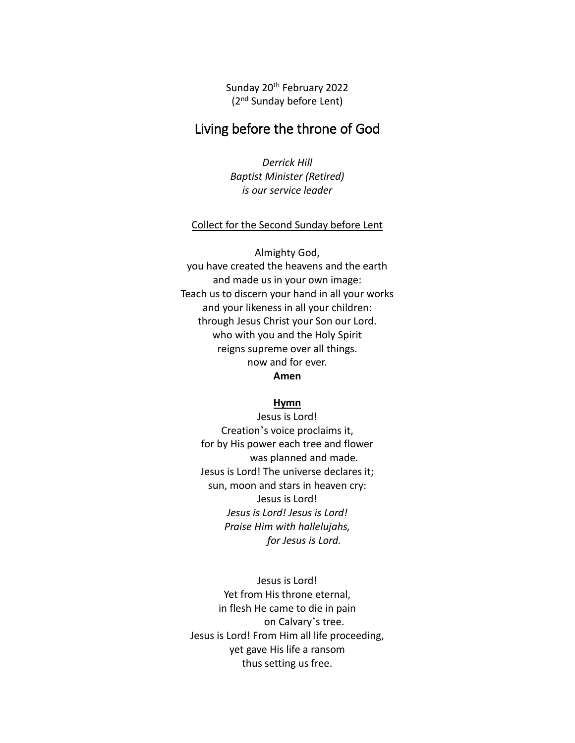Sunday 20<sup>th</sup> February 2022 (2nd Sunday before Lent)

# Living before the throne of God

*Derrick Hill Baptist Minister (Retired) is our service leader*

### Collect for the Second Sunday before Lent

Almighty God, you have created the heavens and the earth and made us in your own image: Teach us to discern your hand in all your works and your likeness in all your children: through Jesus Christ your Son our Lord. who with you and the Holy Spirit reigns supreme over all things. now and for ever. **Amen**

#### **Hymn**

Jesus is Lord! Creation's voice proclaims it, for by His power each tree and flower was planned and made. Jesus is Lord! The universe declares it; sun, moon and stars in heaven cry: Jesus is Lord! *Jesus is Lord! Jesus is Lord! Praise Him with hallelujahs, for Jesus is Lord.*

Jesus is Lord! Yet from His throne eternal, in flesh He came to die in pain on Calvary's tree. Jesus is Lord! From Him all life proceeding, yet gave His life a ransom thus setting us free.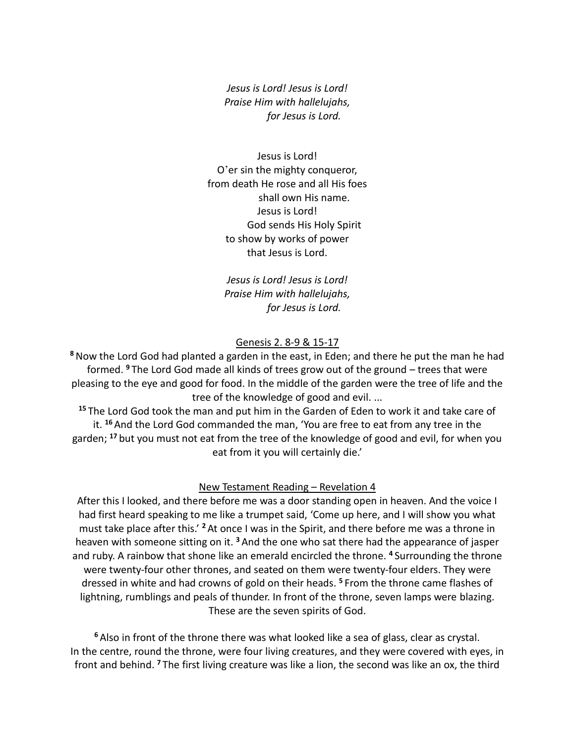*Jesus is Lord! Jesus is Lord! Praise Him with hallelujahs, for Jesus is Lord.*

Jesus is Lord! O'er sin the mighty conqueror, from death He rose and all His foes shall own His name. Jesus is Lord! God sends His Holy Spirit to show by works of power that Jesus is Lord.

> *Jesus is Lord! Jesus is Lord! Praise Him with hallelujahs, for Jesus is Lord.*

Genesis 2. 8-9 & 15-17

**<sup>8</sup>**Now the Lord God had planted a garden in the east, in Eden; and there he put the man he had formed. **<sup>9</sup>** The Lord God made all kinds of trees grow out of the ground – trees that were pleasing to the eye and good for food. In the middle of the garden were the tree of life and the tree of the knowledge of good and evil. ...

**<sup>15</sup>** The Lord God took the man and put him in the Garden of Eden to work it and take care of it. **<sup>16</sup>** And the Lord God commanded the man, 'You are free to eat from any tree in the garden; **<sup>17</sup>** but you must not eat from the tree of the knowledge of good and evil, for when you eat from it you will certainly die.'

## New Testament Reading – Revelation 4

After this I looked, and there before me was a door standing open in heaven. And the voice I had first heard speaking to me like a trumpet said, 'Come up here, and I will show you what must take place after this.' **<sup>2</sup>** At once I was in the Spirit, and there before me was a throne in heaven with someone sitting on it. **<sup>3</sup>** And the one who sat there had the appearance of jasper and ruby. A rainbow that shone like an emerald encircled the throne. **<sup>4</sup>** Surrounding the throne were twenty-four other thrones, and seated on them were twenty-four elders. They were dressed in white and had crowns of gold on their heads. **<sup>5</sup>** From the throne came flashes of lightning, rumblings and peals of thunder. In front of the throne, seven lamps were blazing. These are the seven spirits of God.

**<sup>6</sup>** Also in front of the throne there was what looked like a sea of glass, clear as crystal. In the centre, round the throne, were four living creatures, and they were covered with eyes, in front and behind. **<sup>7</sup>** The first living creature was like a lion, the second was like an ox, the third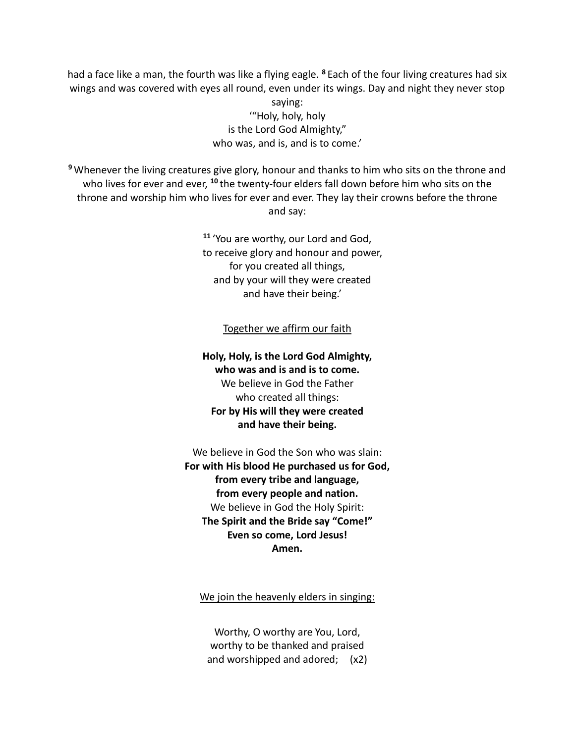had a face like a man, the fourth was like a flying eagle. **<sup>8</sup>** Each of the four living creatures had six wings and was covered with eyes all round, even under its wings. Day and night they never stop

> saying: '"Holy, holy, holy is the Lord God Almighty," who was, and is, and is to come.'

**<sup>9</sup>** Whenever the living creatures give glory, honour and thanks to him who sits on the throne and who lives for ever and ever, **<sup>10</sup>** the twenty-four elders fall down before him who sits on the throne and worship him who lives for ever and ever. They lay their crowns before the throne and say:

> **<sup>11</sup>** 'You are worthy, our Lord and God, to receive glory and honour and power, for you created all things, and by your will they were created and have their being.'

#### Together we affirm our faith

**Holy, Holy, is the Lord God Almighty, who was and is and is to come.** We believe in God the Father who created all things: **For by His will they were created and have their being.**

We believe in God the Son who was slain: **For with His blood He purchased us for God, from every tribe and language, from every people and nation.** We believe in God the Holy Spirit: **The Spirit and the Bride say "Come!" Even so come, Lord Jesus! Amen.**

We join the heavenly elders in singing:

Worthy, O worthy are You, Lord, worthy to be thanked and praised and worshipped and adored; (x2)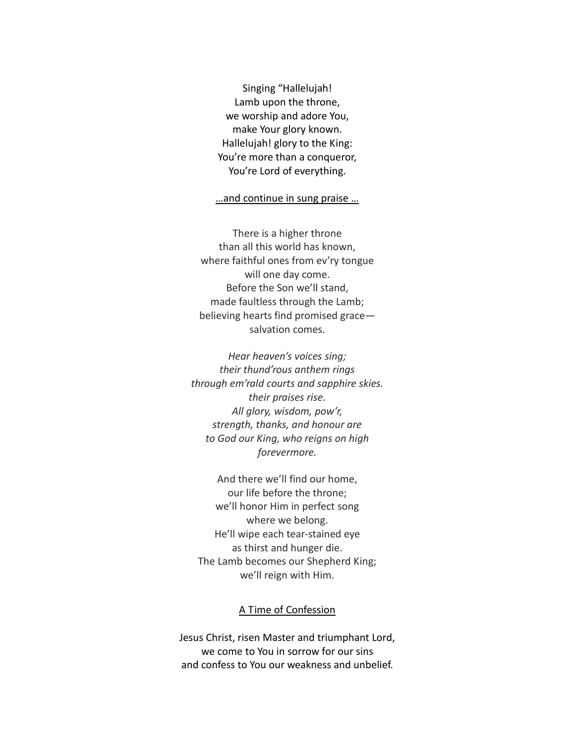Singing "Hallelujah! Lamb upon the throne, we worship and adore You, make Your glory known. Hallelujah! glory to the King: You're more than a conqueror, You're Lord of everything.

#### …and continue in sung praise …

There is a higher throne than all this world has known, where faithful ones from ev'ry tongue will one day come. Before the Son we'll stand, made faultless through the Lamb; believing hearts find promised grace salvation comes.

*Hear heaven's voices sing; their thund'rous anthem rings through em'rald courts and sapphire skies. their praises rise. All glory, wisdom, pow'r, strength, thanks, and honour are to God our King, who reigns on high forevermore.*

And there we'll find our home, our life before the throne; we'll honor Him in perfect song where we belong. He'll wipe each tear-stained eye as thirst and hunger die. The Lamb becomes our Shepherd King; we'll reign with Him.

## A Time of Confession

Jesus Christ, risen Master and triumphant Lord, we come to You in sorrow for our sins and confess to You our weakness and unbelief.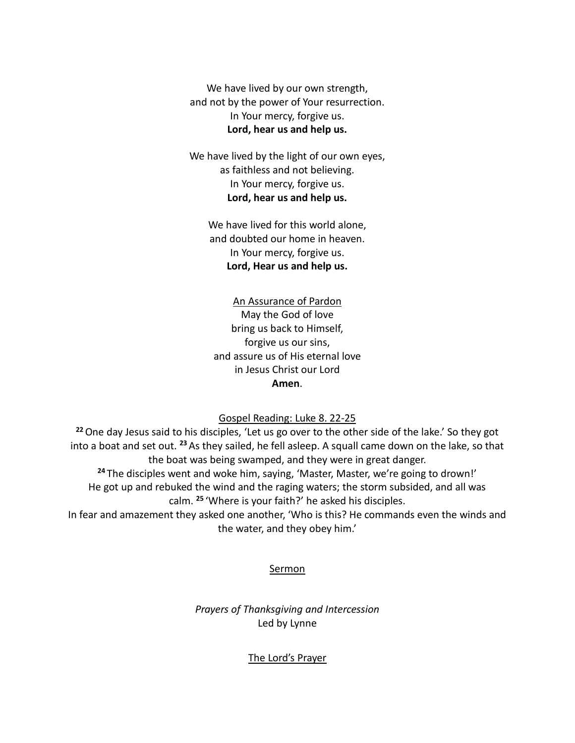We have lived by our own strength, and not by the power of Your resurrection. In Your mercy, forgive us. **Lord, hear us and help us.**

We have lived by the light of our own eyes, as faithless and not believing. In Your mercy, forgive us. **Lord, hear us and help us.**

We have lived for this world alone, and doubted our home in heaven. In Your mercy, forgive us. **Lord, Hear us and help us.**

An Assurance of Pardon May the God of love bring us back to Himself, forgive us our sins, and assure us of His eternal love in Jesus Christ our Lord **Amen**.

## Gospel Reading: Luke 8. 22-25

**<sup>22</sup>**One day Jesus said to his disciples, 'Let us go over to the other side of the lake.' So they got into a boat and set out. **<sup>23</sup>** As they sailed, he fell asleep. A squall came down on the lake, so that the boat was being swamped, and they were in great danger. **<sup>24</sup>** The disciples went and woke him, saying, 'Master, Master, we're going to drown!' He got up and rebuked the wind and the raging waters; the storm subsided, and all was calm. **<sup>25</sup>** 'Where is your faith?' he asked his disciples.

In fear and amazement they asked one another, 'Who is this? He commands even the winds and the water, and they obey him.'

#### Sermon

*Prayers of Thanksgiving and Intercession* Led by Lynne

The Lord's Prayer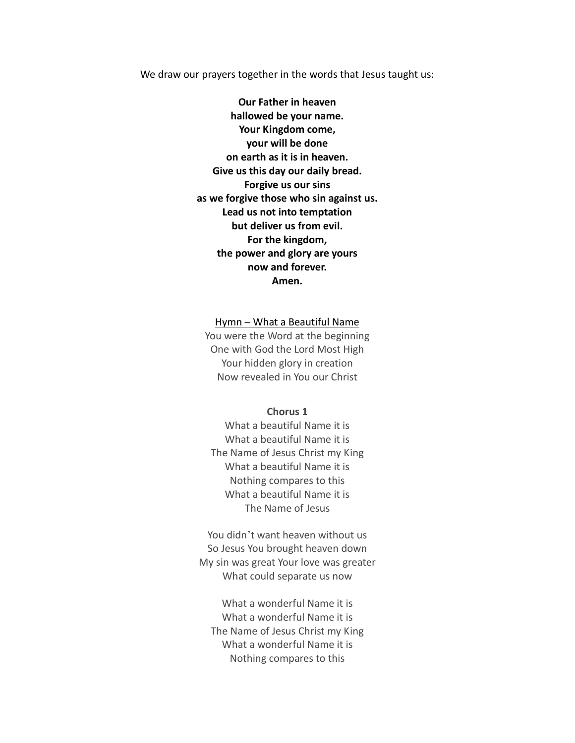We draw our prayers together in the words that Jesus taught us:

**Our Father in heaven hallowed be your name. Your Kingdom come, your will be done on earth as it is in heaven. Give us this day our daily bread. Forgive us our sins as we forgive those who sin against us. Lead us not into temptation but deliver us from evil. For the kingdom, the power and glory are yours now and forever. Amen.**

## Hymn – What a Beautiful Name

You were the Word at the beginning One with God the Lord Most High Your hidden glory in creation Now revealed in You our Christ

#### **Chorus 1**

What a beautiful Name it is What a beautiful Name it is The Name of Jesus Christ my King What a beautiful Name it is Nothing compares to this What a beautiful Name it is The Name of Jesus

You didn't want heaven without us So Jesus You brought heaven down My sin was great Your love was greater What could separate us now

What a wonderful Name it is What a wonderful Name it is The Name of Jesus Christ my King What a wonderful Name it is Nothing compares to this